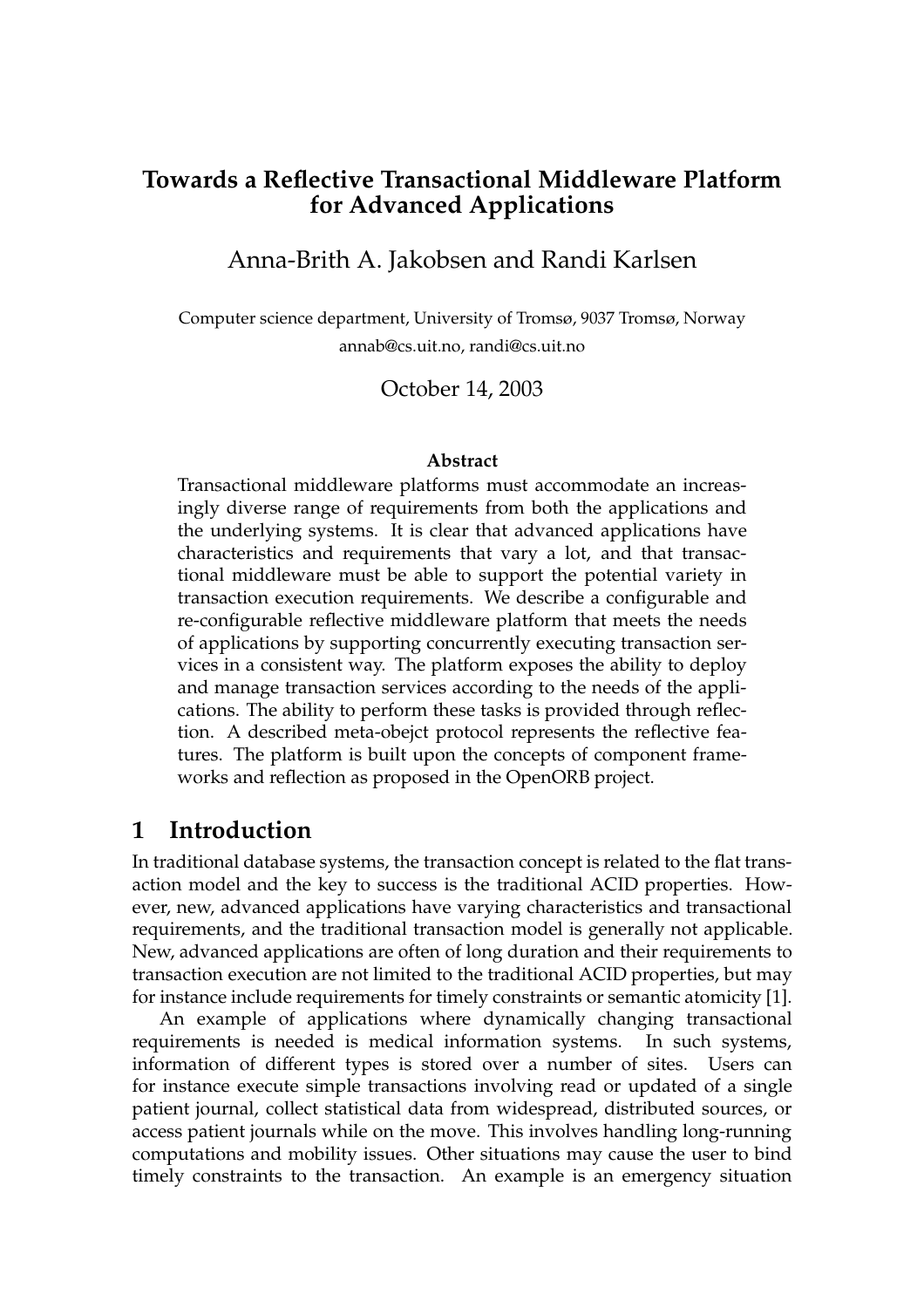# **Towards a Reflective Transactional Middleware Platform for Advanced Applications**

## Anna-Brith A. Jakobsen and Randi Karlsen

Computer science department, University of Tromsø, 9037 Tromsø, Norway annab@cs.uit.no, randi@cs.uit.no

#### October 14, 2003

#### **Abstract**

Transactional middleware platforms must accommodate an increasingly diverse range of requirements from both the applications and the underlying systems. It is clear that advanced applications have characteristics and requirements that vary a lot, and that transactional middleware must be able to support the potential variety in transaction execution requirements. We describe a configurable and re-configurable reflective middleware platform that meets the needs of applications by supporting concurrently executing transaction services in a consistent way. The platform exposes the ability to deploy and manage transaction services according to the needs of the applications. The ability to perform these tasks is provided through reflection. A described meta-obejct protocol represents the reflective features. The platform is built upon the concepts of component frameworks and reflection as proposed in the OpenORB project.

#### **1 Introduction**

In traditional database systems, the transaction concept is related to the flat transaction model and the key to success is the traditional ACID properties. However, new, advanced applications have varying characteristics and transactional requirements, and the traditional transaction model is generally not applicable. New, advanced applications are often of long duration and their requirements to transaction execution are not limited to the traditional ACID properties, but may for instance include requirements for timely constraints or semantic atomicity [1].

An example of applications where dynamically changing transactional requirements is needed is medical information systems. In such systems, information of different types is stored over a number of sites. Users can for instance execute simple transactions involving read or updated of a single patient journal, collect statistical data from widespread, distributed sources, or access patient journals while on the move. This involves handling long-running computations and mobility issues. Other situations may cause the user to bind timely constraints to the transaction. An example is an emergency situation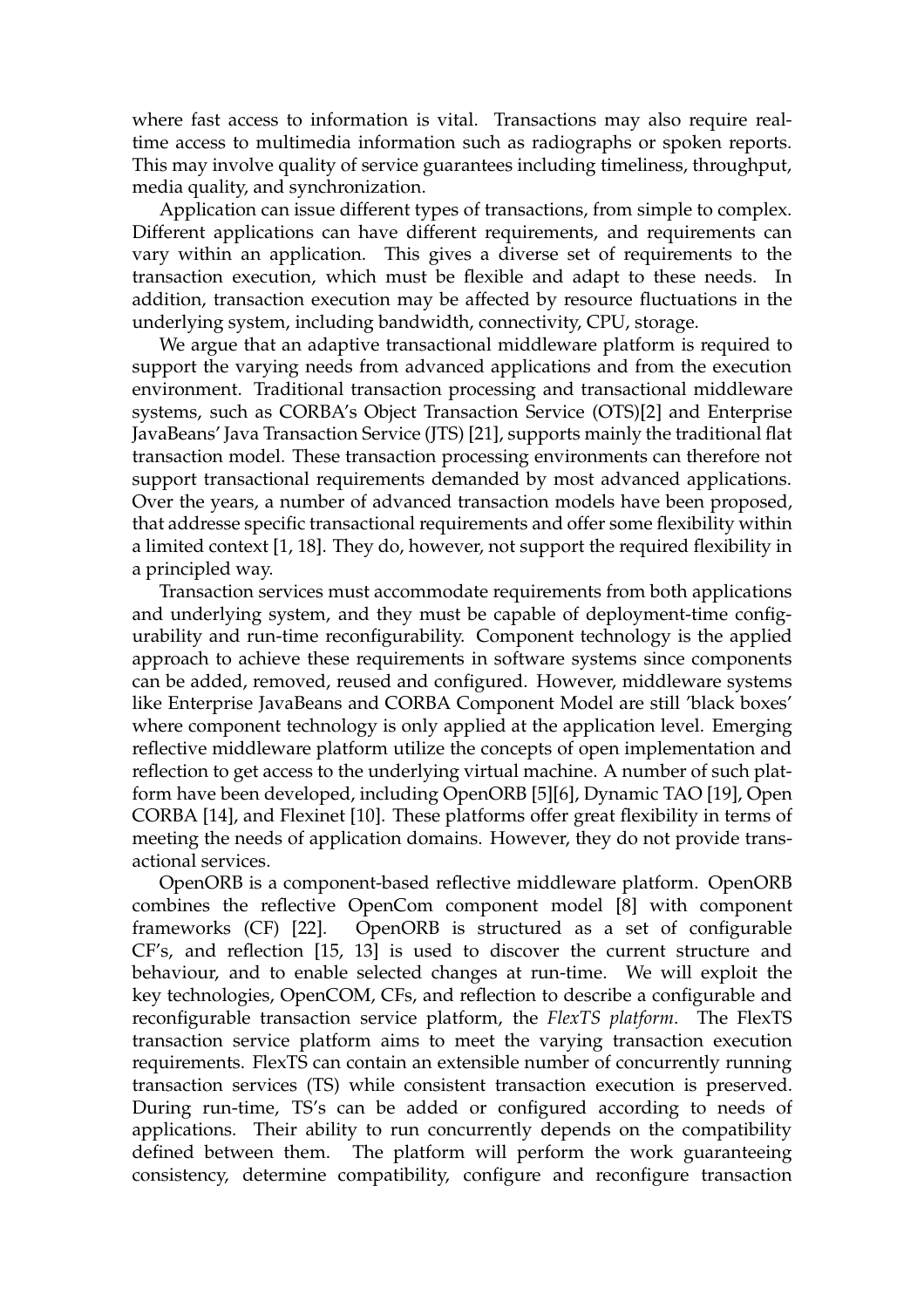where fast access to information is vital. Transactions may also require realtime access to multimedia information such as radiographs or spoken reports. This may involve quality of service guarantees including timeliness, throughput, media quality, and synchronization.

Application can issue different types of transactions, from simple to complex. Different applications can have different requirements, and requirements can vary within an application. This gives a diverse set of requirements to the transaction execution, which must be flexible and adapt to these needs. In addition, transaction execution may be affected by resource fluctuations in the underlying system, including bandwidth, connectivity, CPU, storage.

We argue that an adaptive transactional middleware platform is required to support the varying needs from advanced applications and from the execution environment. Traditional transaction processing and transactional middleware systems, such as CORBA's Object Transaction Service (OTS)[2] and Enterprise JavaBeans' Java Transaction Service (JTS) [21], supports mainly the traditional flat transaction model. These transaction processing environments can therefore not support transactional requirements demanded by most advanced applications. Over the years, a number of advanced transaction models have been proposed, that addresse specific transactional requirements and offer some flexibility within a limited context [1, 18]. They do, however, not support the required flexibility in a principled way.

Transaction services must accommodate requirements from both applications and underlying system, and they must be capable of deployment-time configurability and run-time reconfigurability. Component technology is the applied approach to achieve these requirements in software systems since components can be added, removed, reused and configured. However, middleware systems like Enterprise JavaBeans and CORBA Component Model are still 'black boxes' where component technology is only applied at the application level. Emerging reflective middleware platform utilize the concepts of open implementation and reflection to get access to the underlying virtual machine. A number of such platform have been developed, including OpenORB [5][6], Dynamic TAO [19], Open CORBA [14], and Flexinet [10]. These platforms offer great flexibility in terms of meeting the needs of application domains. However, they do not provide transactional services.

OpenORB is a component-based reflective middleware platform. OpenORB combines the reflective OpenCom component model [8] with component frameworks (CF) [22]. OpenORB is structured as a set of configurable CF's, and reflection [15, 13] is used to discover the current structure and behaviour, and to enable selected changes at run-time. We will exploit the key technologies, OpenCOM, CFs, and reflection to describe a configurable and reconfigurable transaction service platform, the *FlexTS platform*. The FlexTS transaction service platform aims to meet the varying transaction execution requirements. FlexTS can contain an extensible number of concurrently running transaction services (TS) while consistent transaction execution is preserved. During run-time, TS's can be added or configured according to needs of applications. Their ability to run concurrently depends on the compatibility defined between them. The platform will perform the work guaranteeing consistency, determine compatibility, configure and reconfigure transaction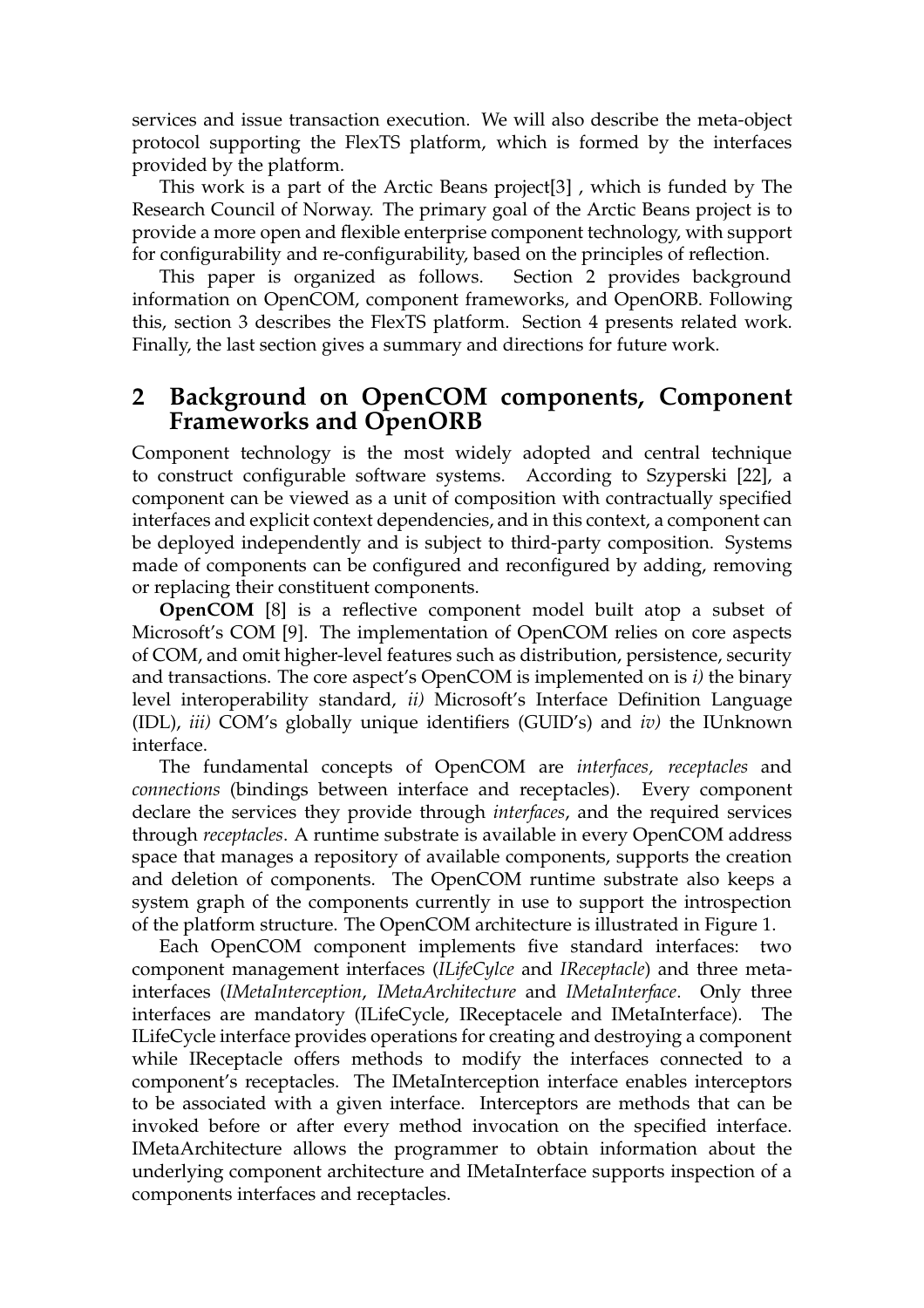services and issue transaction execution. We will also describe the meta-object protocol supporting the FlexTS platform, which is formed by the interfaces provided by the platform.

This work is a part of the Arctic Beans project[3] , which is funded by The Research Council of Norway. The primary goal of the Arctic Beans project is to provide a more open and flexible enterprise component technology, with support for configurability and re-configurability, based on the principles of reflection.

This paper is organized as follows. Section 2 provides background information on OpenCOM, component frameworks, and OpenORB. Following this, section 3 describes the FlexTS platform. Section 4 presents related work. Finally, the last section gives a summary and directions for future work.

# **2 Background on OpenCOM components, Component Frameworks and OpenORB**

Component technology is the most widely adopted and central technique to construct configurable software systems. According to Szyperski [22], a component can be viewed as a unit of composition with contractually specified interfaces and explicit context dependencies, and in this context, a component can be deployed independently and is subject to third-party composition. Systems made of components can be configured and reconfigured by adding, removing or replacing their constituent components.

**OpenCOM** [8] is a reflective component model built atop a subset of Microsoft's COM [9]. The implementation of OpenCOM relies on core aspects of COM, and omit higher-level features such as distribution, persistence, security and transactions. The core aspect's OpenCOM is implemented on is *i)* the binary level interoperability standard, *ii)* Microsoft's Interface Definition Language (IDL), *iii)* COM's globally unique identifiers (GUID's) and *iv)* the IUnknown interface.

The fundamental concepts of OpenCOM are *interfaces, receptacles* and *connections* (bindings between interface and receptacles). Every component declare the services they provide through *interfaces*, and the required services through *receptacles*. A runtime substrate is available in every OpenCOM address space that manages a repository of available components, supports the creation and deletion of components. The OpenCOM runtime substrate also keeps a system graph of the components currently in use to support the introspection of the platform structure. The OpenCOM architecture is illustrated in Figure 1.

Each OpenCOM component implements five standard interfaces: two component management interfaces (*ILifeCylce* and *IReceptacle*) and three metainterfaces (*IMetaInterception*, *IMetaArchitecture* and *IMetaInterface*. Only three interfaces are mandatory (ILifeCycle, IReceptacele and IMetaInterface). The ILifeCycle interface provides operations for creating and destroying a component while IReceptacle offers methods to modify the interfaces connected to a component's receptacles. The IMetaInterception interface enables interceptors to be associated with a given interface. Interceptors are methods that can be invoked before or after every method invocation on the specified interface. IMetaArchitecture allows the programmer to obtain information about the underlying component architecture and IMetaInterface supports inspection of a components interfaces and receptacles.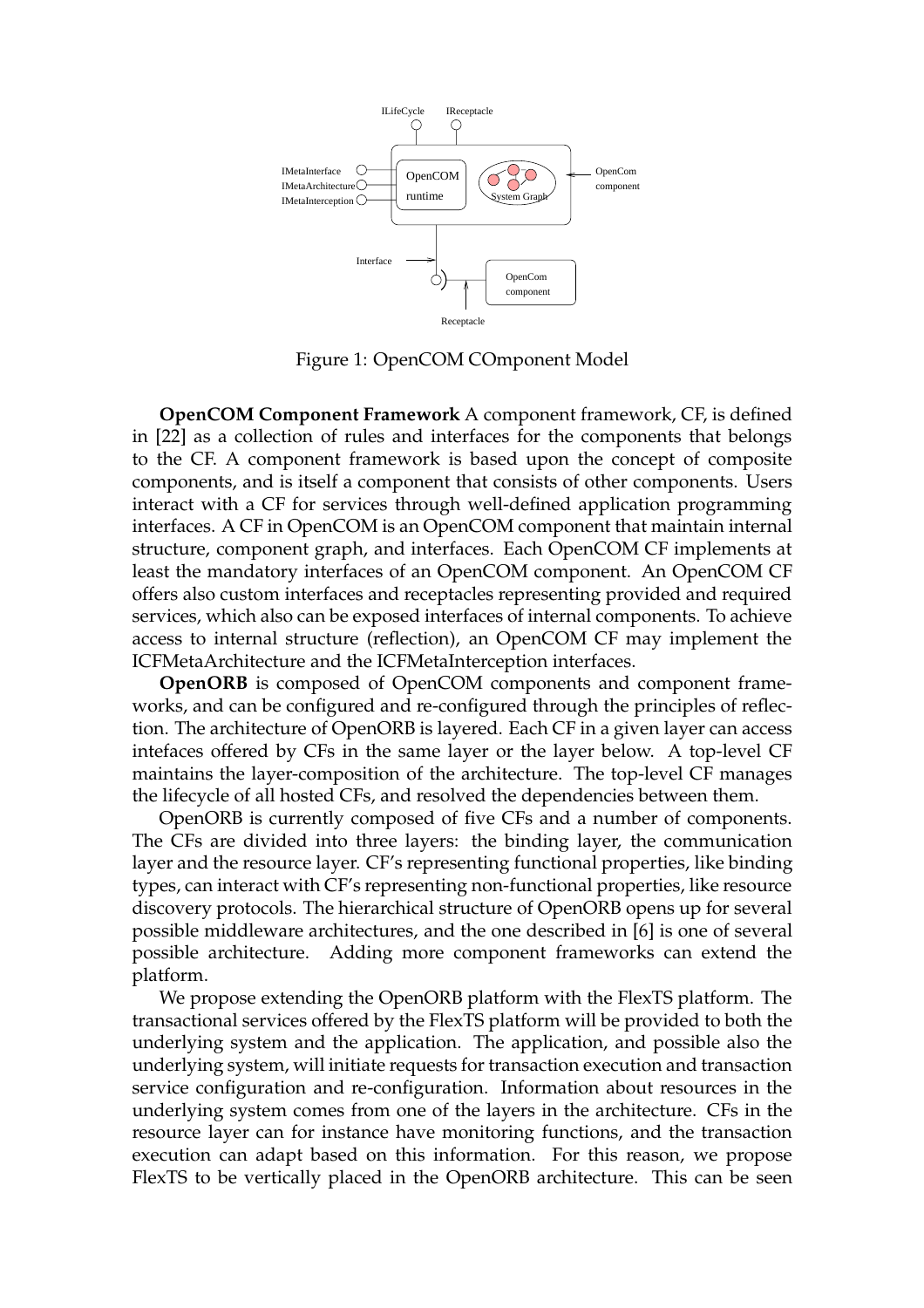

Figure 1: OpenCOM COmponent Model

**OpenCOM Component Framework** A component framework, CF, is defined in [22] as a collection of rules and interfaces for the components that belongs to the CF. A component framework is based upon the concept of composite components, and is itself a component that consists of other components. Users interact with a CF for services through well-defined application programming interfaces. A CF in OpenCOM is an OpenCOM component that maintain internal structure, component graph, and interfaces. Each OpenCOM CF implements at least the mandatory interfaces of an OpenCOM component. An OpenCOM CF offers also custom interfaces and receptacles representing provided and required services, which also can be exposed interfaces of internal components. To achieve access to internal structure (reflection), an OpenCOM CF may implement the ICFMetaArchitecture and the ICFMetaInterception interfaces.

**OpenORB** is composed of OpenCOM components and component frameworks, and can be configured and re-configured through the principles of reflection. The architecture of OpenORB is layered. Each CF in a given layer can access intefaces offered by CFs in the same layer or the layer below. A top-level CF maintains the layer-composition of the architecture. The top-level CF manages the lifecycle of all hosted CFs, and resolved the dependencies between them.

OpenORB is currently composed of five CFs and a number of components. The CFs are divided into three layers: the binding layer, the communication layer and the resource layer. CF's representing functional properties, like binding types, can interact with CF's representing non-functional properties, like resource discovery protocols. The hierarchical structure of OpenORB opens up for several possible middleware architectures, and the one described in [6] is one of several possible architecture. Adding more component frameworks can extend the platform.

We propose extending the OpenORB platform with the FlexTS platform. The transactional services offered by the FlexTS platform will be provided to both the underlying system and the application. The application, and possible also the underlying system, will initiate requests for transaction execution and transaction service configuration and re-configuration. Information about resources in the underlying system comes from one of the layers in the architecture. CFs in the resource layer can for instance have monitoring functions, and the transaction execution can adapt based on this information. For this reason, we propose FlexTS to be vertically placed in the OpenORB architecture. This can be seen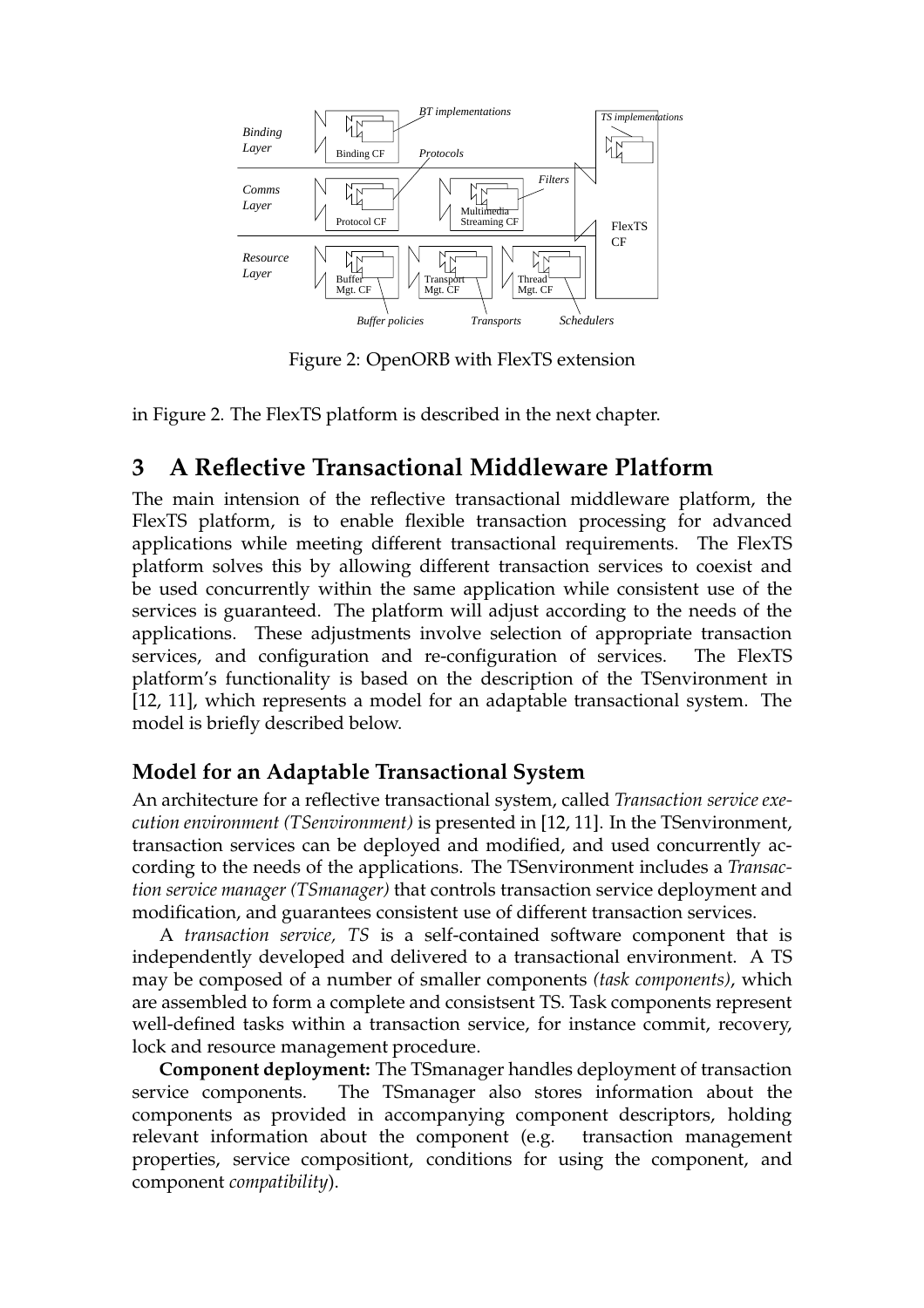

Figure 2: OpenORB with FlexTS extension

in Figure 2. The FlexTS platform is described in the next chapter.

# **3 A Reflective Transactional Middleware Platform**

The main intension of the reflective transactional middleware platform, the FlexTS platform, is to enable flexible transaction processing for advanced applications while meeting different transactional requirements. The FlexTS platform solves this by allowing different transaction services to coexist and be used concurrently within the same application while consistent use of the services is guaranteed. The platform will adjust according to the needs of the applications. These adjustments involve selection of appropriate transaction services, and configuration and re-configuration of services. The FlexTS platform's functionality is based on the description of the TSenvironment in [12, 11], which represents a model for an adaptable transactional system. The model is briefly described below.

# **Model for an Adaptable Transactional System**

An architecture for a reflective transactional system, called *Transaction service execution environment (TSenvironment)* is presented in [12, 11]. In the TSenvironment, transaction services can be deployed and modified, and used concurrently according to the needs of the applications. The TSenvironment includes a *Transaction service manager (TSmanager)* that controls transaction service deployment and modification, and guarantees consistent use of different transaction services.

A *transaction service, TS* is a self-contained software component that is independently developed and delivered to a transactional environment. A TS may be composed of a number of smaller components *(task components)*, which are assembled to form a complete and consistsent TS. Task components represent well-defined tasks within a transaction service, for instance commit, recovery, lock and resource management procedure.

**Component deployment:** The TSmanager handles deployment of transaction service components. The TSmanager also stores information about the components as provided in accompanying component descriptors, holding relevant information about the component (e.g. transaction management properties, service compositiont, conditions for using the component, and component *compatibility*).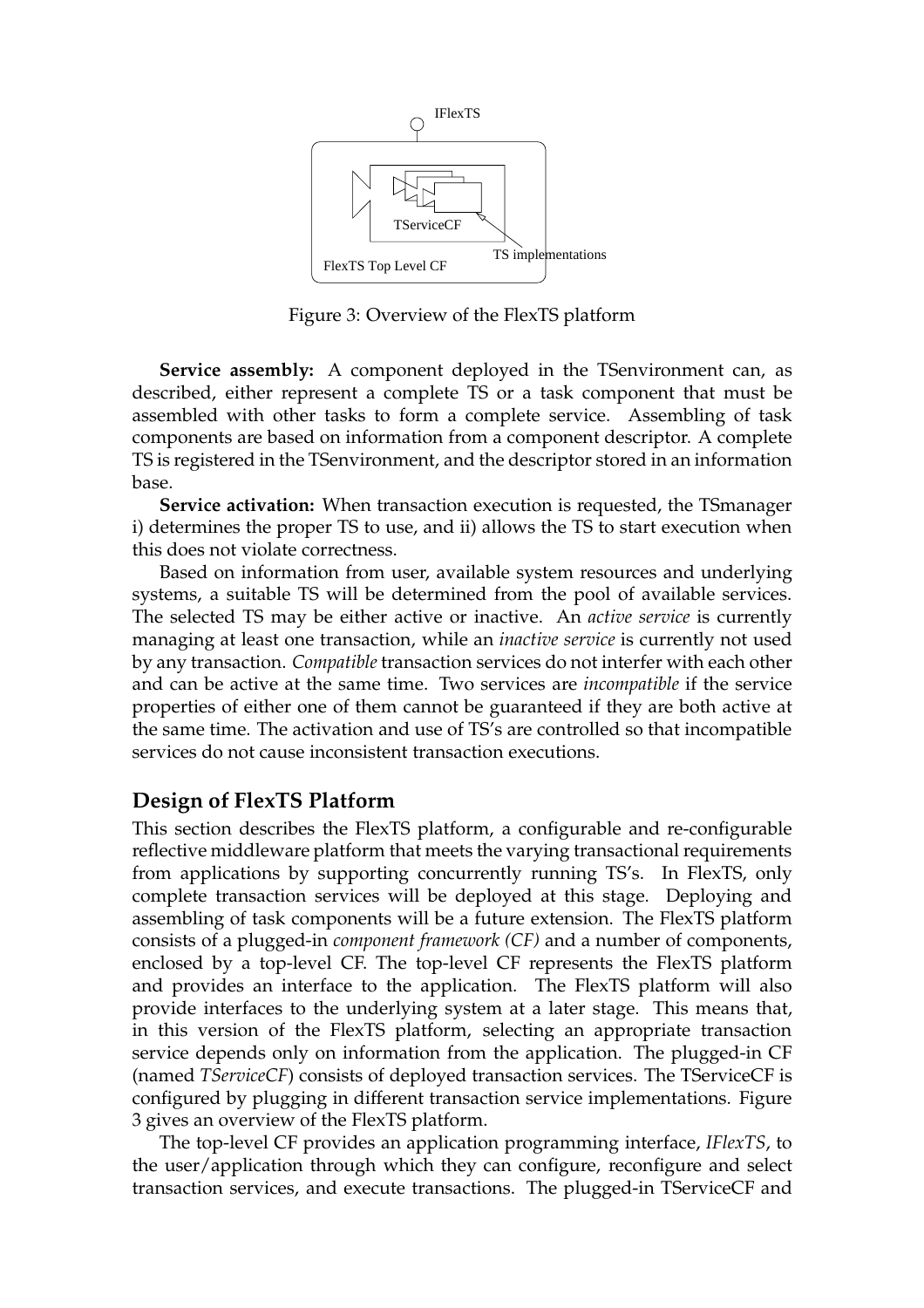

Figure 3: Overview of the FlexTS platform

**Service assembly:** A component deployed in the TSenvironment can, as described, either represent a complete TS or a task component that must be assembled with other tasks to form a complete service. Assembling of task components are based on information from a component descriptor. A complete TS is registered in the TSenvironment, and the descriptor stored in an information base.

**Service activation:** When transaction execution is requested, the TSmanager i) determines the proper TS to use, and ii) allows the TS to start execution when this does not violate correctness.

Based on information from user, available system resources and underlying systems, a suitable TS will be determined from the pool of available services. The selected TS may be either active or inactive. An *active service* is currently managing at least one transaction, while an *inactive service* is currently not used by any transaction. *Compatible* transaction services do not interfer with each other and can be active at the same time. Two services are *incompatible* if the service properties of either one of them cannot be guaranteed if they are both active at the same time. The activation and use of TS's are controlled so that incompatible services do not cause inconsistent transaction executions.

#### **Design of FlexTS Platform**

This section describes the FlexTS platform, a configurable and re-configurable reflective middleware platform that meets the varying transactional requirements from applications by supporting concurrently running TS's. In FlexTS, only complete transaction services will be deployed at this stage. Deploying and assembling of task components will be a future extension. The FlexTS platform consists of a plugged-in *component framework (CF)* and a number of components, enclosed by a top-level CF. The top-level CF represents the FlexTS platform and provides an interface to the application. The FlexTS platform will also provide interfaces to the underlying system at a later stage. This means that, in this version of the FlexTS platform, selecting an appropriate transaction service depends only on information from the application. The plugged-in CF (named *TServiceCF*) consists of deployed transaction services. The TServiceCF is configured by plugging in different transaction service implementations. Figure 3 gives an overview of the FlexTS platform.

The top-level CF provides an application programming interface, *IFlexTS*, to the user/application through which they can configure, reconfigure and select transaction services, and execute transactions. The plugged-in TServiceCF and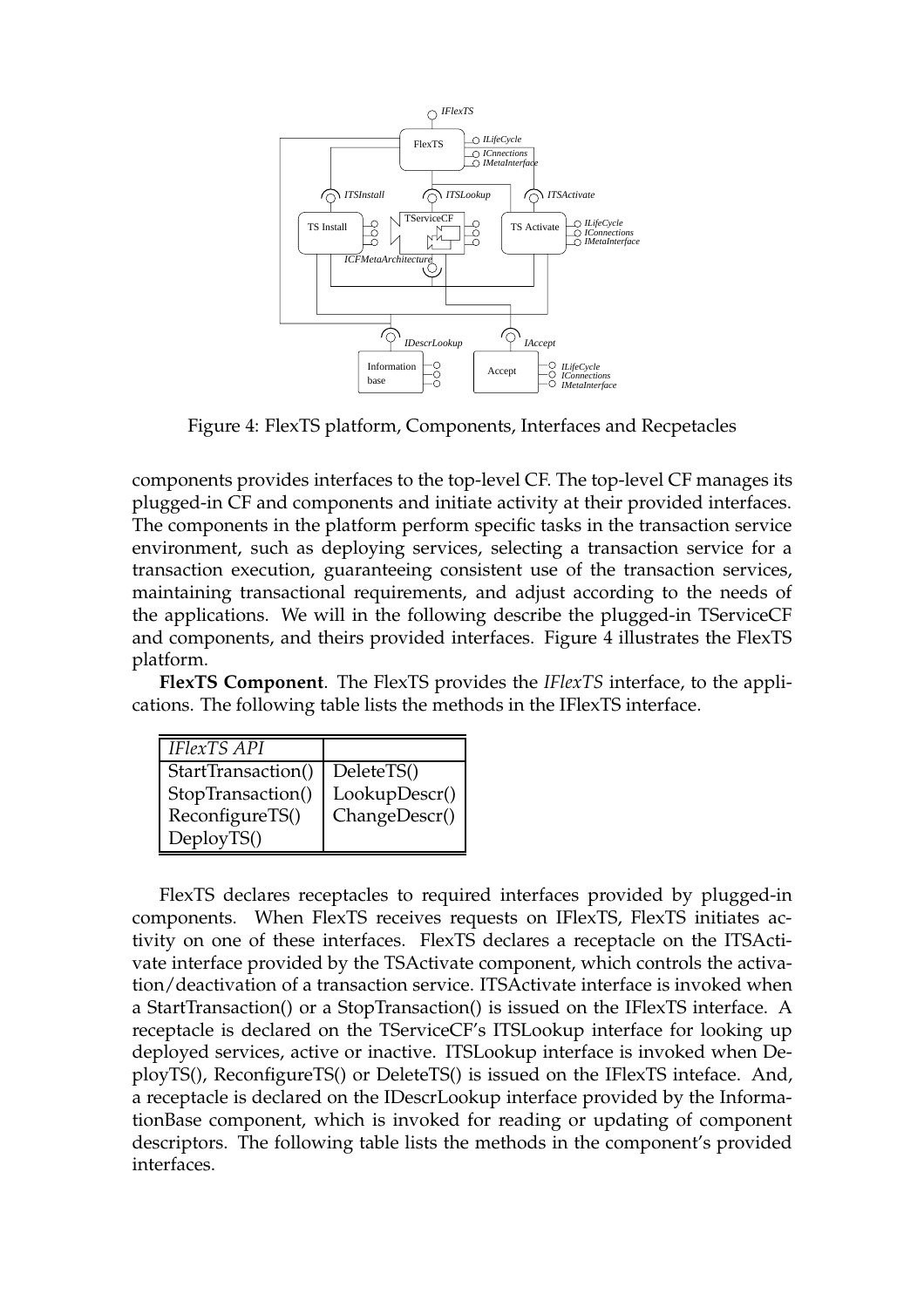

Figure 4: FlexTS platform, Components, Interfaces and Recpetacles

components provides interfaces to the top-level CF. The top-level CF manages its plugged-in CF and components and initiate activity at their provided interfaces. The components in the platform perform specific tasks in the transaction service environment, such as deploying services, selecting a transaction service for a transaction execution, guaranteeing consistent use of the transaction services, maintaining transactional requirements, and adjust according to the needs of the applications. We will in the following describe the plugged-in TServiceCF and components, and theirs provided interfaces. Figure 4 illustrates the FlexTS platform.

**FlexTS Component**. The FlexTS provides the *IFlexTS* interface, to the applications. The following table lists the methods in the IFlexTS interface.

| <b>IFlexTS API</b> |               |
|--------------------|---------------|
| StartTransaction() | DeleteTS()    |
| StopTransaction()  | LookupDescr() |
| ReconfigureTS()    | ChangeDescr() |
| DeployTS()         |               |

FlexTS declares receptacles to required interfaces provided by plugged-in components. When FlexTS receives requests on IFlexTS, FlexTS initiates activity on one of these interfaces. FlexTS declares a receptacle on the ITSActivate interface provided by the TSActivate component, which controls the activation/deactivation of a transaction service. ITSActivate interface is invoked when a StartTransaction() or a StopTransaction() is issued on the IFlexTS interface. A receptacle is declared on the TServiceCF's ITSLookup interface for looking up deployed services, active or inactive. ITSLookup interface is invoked when DeployTS(), ReconfigureTS() or DeleteTS() is issued on the IFlexTS inteface. And, a receptacle is declared on the IDescrLookup interface provided by the InformationBase component, which is invoked for reading or updating of component descriptors. The following table lists the methods in the component's provided interfaces.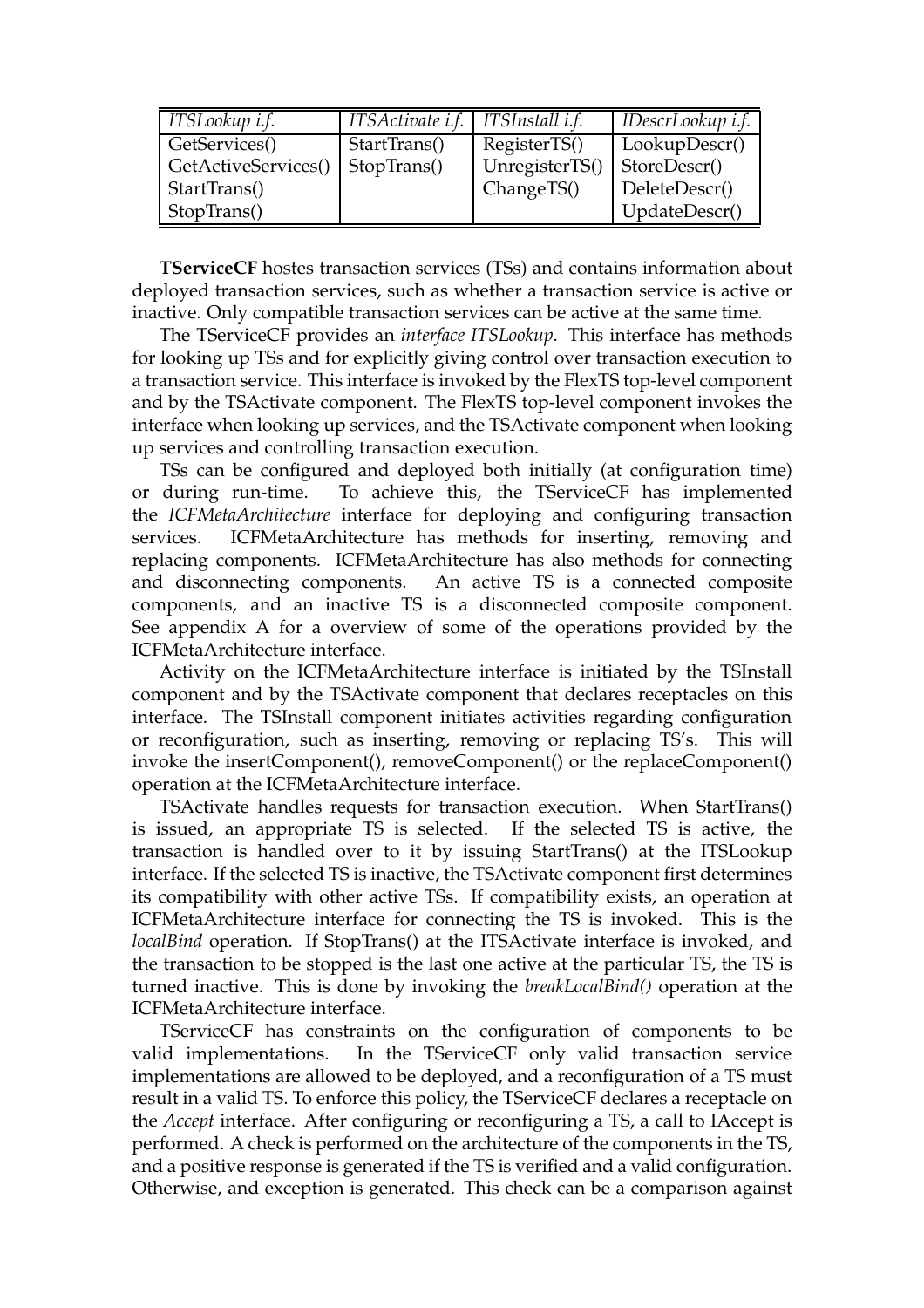| ITSLookup i.f.      | ITSActivate i.f.   ITSInstall i.f. |                | IDescrLookup i.f. |
|---------------------|------------------------------------|----------------|-------------------|
| GetServices()       | StartTrans()                       | RegisterTS()   | LookupDescr()     |
| GetActiveServices() | StopTrans()                        | UnregisterTS() | StoreDescr()      |
| StartTrans()        |                                    | ChangeTS()     | DeleteDescr()     |
| StopTrans()         |                                    |                | UpdateDescr()     |

**TServiceCF** hostes transaction services (TSs) and contains information about deployed transaction services, such as whether a transaction service is active or inactive. Only compatible transaction services can be active at the same time.

The TServiceCF provides an *interface ITSLookup*. This interface has methods for looking up TSs and for explicitly giving control over transaction execution to a transaction service. This interface is invoked by the FlexTS top-level component and by the TSActivate component. The FlexTS top-level component invokes the interface when looking up services, and the TSActivate component when looking up services and controlling transaction execution.

TSs can be configured and deployed both initially (at configuration time) or during run-time. To achieve this, the TServiceCF has implemented the *ICFMetaArchitecture* interface for deploying and configuring transaction services. ICFMetaArchitecture has methods for inserting, removing and replacing components. ICFMetaArchitecture has also methods for connecting and disconnecting components. An active TS is a connected composite components, and an inactive TS is a disconnected composite component. See appendix A for a overview of some of the operations provided by the ICFMetaArchitecture interface.

Activity on the ICFMetaArchitecture interface is initiated by the TSInstall component and by the TSActivate component that declares receptacles on this interface. The TSInstall component initiates activities regarding configuration or reconfiguration, such as inserting, removing or replacing TS's. This will invoke the insertComponent(), removeComponent() or the replaceComponent() operation at the ICFMetaArchitecture interface.

TSActivate handles requests for transaction execution. When StartTrans() is issued, an appropriate TS is selected. If the selected TS is active, the transaction is handled over to it by issuing StartTrans() at the ITSLookup interface. If the selected TS is inactive, the TSActivate component first determines its compatibility with other active TSs. If compatibility exists, an operation at ICFMetaArchitecture interface for connecting the TS is invoked. This is the *localBind* operation. If StopTrans() at the ITSActivate interface is invoked, and the transaction to be stopped is the last one active at the particular TS, the TS is turned inactive. This is done by invoking the *breakLocalBind()* operation at the ICFMetaArchitecture interface.

TServiceCF has constraints on the configuration of components to be valid implementations. In the TServiceCF only valid transaction service implementations are allowed to be deployed, and a reconfiguration of a TS must result in a valid TS. To enforce this policy, the TServiceCF declares a receptacle on the *Accept* interface. After configuring or reconfiguring a TS, a call to IAccept is performed. A check is performed on the architecture of the components in the TS, and a positive response is generated if the TS is verified and a valid configuration. Otherwise, and exception is generated. This check can be a comparison against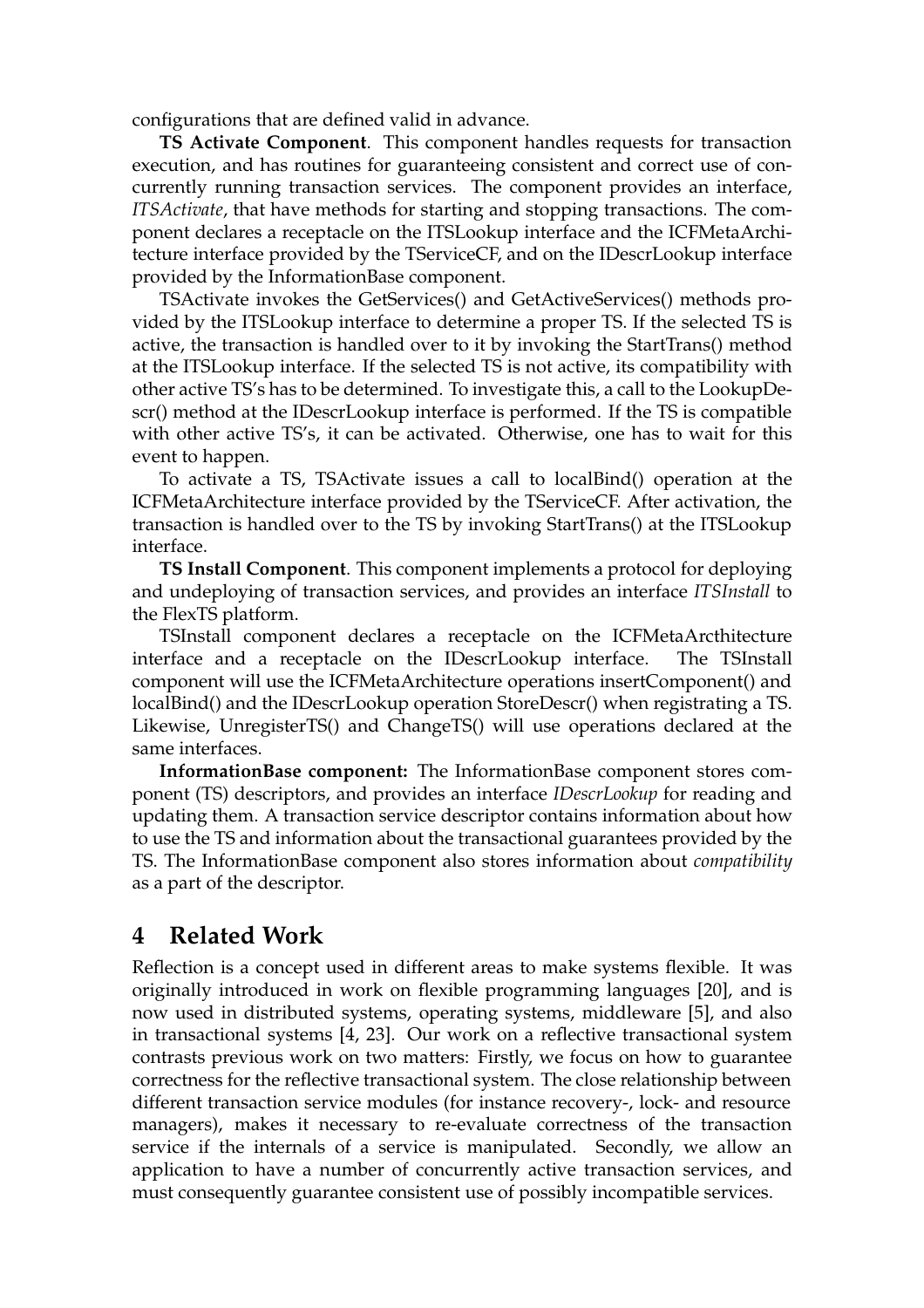configurations that are defined valid in advance.

**TS Activate Component**. This component handles requests for transaction execution, and has routines for guaranteeing consistent and correct use of concurrently running transaction services. The component provides an interface, *ITSActivate*, that have methods for starting and stopping transactions. The component declares a receptacle on the ITSLookup interface and the ICFMetaArchitecture interface provided by the TServiceCF, and on the IDescrLookup interface provided by the InformationBase component.

TSActivate invokes the GetServices() and GetActiveServices() methods provided by the ITSLookup interface to determine a proper TS. If the selected TS is active, the transaction is handled over to it by invoking the StartTrans() method at the ITSLookup interface. If the selected TS is not active, its compatibility with other active TS's has to be determined. To investigate this, a call to the LookupDescr() method at the IDescrLookup interface is performed. If the TS is compatible with other active TS's, it can be activated. Otherwise, one has to wait for this event to happen.

To activate a TS, TSActivate issues a call to localBind() operation at the ICFMetaArchitecture interface provided by the TServiceCF. After activation, the transaction is handled over to the TS by invoking StartTrans() at the ITSLookup interface.

**TS Install Component**. This component implements a protocol for deploying and undeploying of transaction services, and provides an interface *ITSInstall* to the FlexTS platform.

TSInstall component declares a receptacle on the ICFMetaArcthitecture interface and a receptacle on the IDescrLookup interface. The TSInstall component will use the ICFMetaArchitecture operations insertComponent() and localBind() and the IDescrLookup operation StoreDescr() when registrating a TS. Likewise, UnregisterTS() and ChangeTS() will use operations declared at the same interfaces.

**InformationBase component:** The InformationBase component stores component (TS) descriptors, and provides an interface *IDescrLookup* for reading and updating them. A transaction service descriptor contains information about how to use the TS and information about the transactional guarantees provided by the TS. The InformationBase component also stores information about *compatibility* as a part of the descriptor.

# **4 Related Work**

Reflection is a concept used in different areas to make systems flexible. It was originally introduced in work on flexible programming languages [20], and is now used in distributed systems, operating systems, middleware [5], and also in transactional systems [4, 23]. Our work on a reflective transactional system contrasts previous work on two matters: Firstly, we focus on how to guarantee correctness for the reflective transactional system. The close relationship between different transaction service modules (for instance recovery-, lock- and resource managers), makes it necessary to re-evaluate correctness of the transaction service if the internals of a service is manipulated. Secondly, we allow an application to have a number of concurrently active transaction services, and must consequently guarantee consistent use of possibly incompatible services.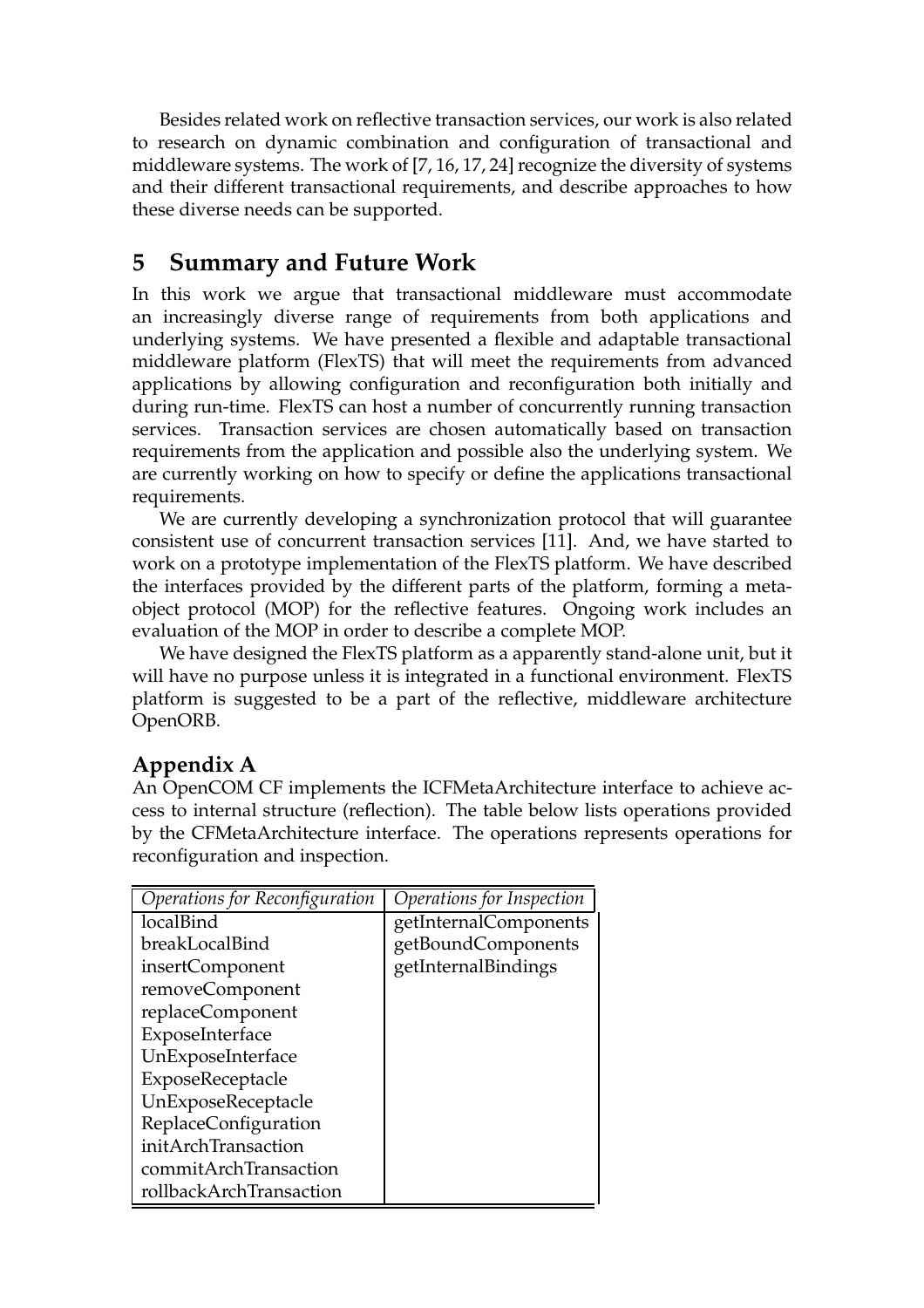Besides related work on reflective transaction services, our work is also related to research on dynamic combination and configuration of transactional and middleware systems. The work of [7, 16, 17, 24] recognize the diversity of systems and their different transactional requirements, and describe approaches to how these diverse needs can be supported.

# **5 Summary and Future Work**

In this work we argue that transactional middleware must accommodate an increasingly diverse range of requirements from both applications and underlying systems. We have presented a flexible and adaptable transactional middleware platform (FlexTS) that will meet the requirements from advanced applications by allowing configuration and reconfiguration both initially and during run-time. FlexTS can host a number of concurrently running transaction services. Transaction services are chosen automatically based on transaction requirements from the application and possible also the underlying system. We are currently working on how to specify or define the applications transactional requirements.

We are currently developing a synchronization protocol that will guarantee consistent use of concurrent transaction services [11]. And, we have started to work on a prototype implementation of the FlexTS platform. We have described the interfaces provided by the different parts of the platform, forming a metaobject protocol (MOP) for the reflective features. Ongoing work includes an evaluation of the MOP in order to describe a complete MOP.

We have designed the FlexTS platform as a apparently stand-alone unit, but it will have no purpose unless it is integrated in a functional environment. FlexTS platform is suggested to be a part of the reflective, middleware architecture OpenORB.

## **Appendix A**

An OpenCOM CF implements the ICFMetaArchitecture interface to achieve access to internal structure (reflection). The table below lists operations provided by the CFMetaArchitecture interface. The operations represents operations for reconfiguration and inspection.

| Operations for Reconfiguration | Operations for Inspection |
|--------------------------------|---------------------------|
| localBind                      | getInternalComponents     |
| breakLocalBind                 | getBoundComponents        |
| insertComponent                | getInternalBindings       |
| removeComponent                |                           |
| replaceComponent               |                           |
| ExposeInterface                |                           |
| UnExposeInterface              |                           |
| ExposeReceptacle               |                           |
| UnExposeReceptacle             |                           |
| ReplaceConfiguration           |                           |
| initArchTransaction            |                           |
| commitArchTransaction          |                           |
| rollbackArchTransaction        |                           |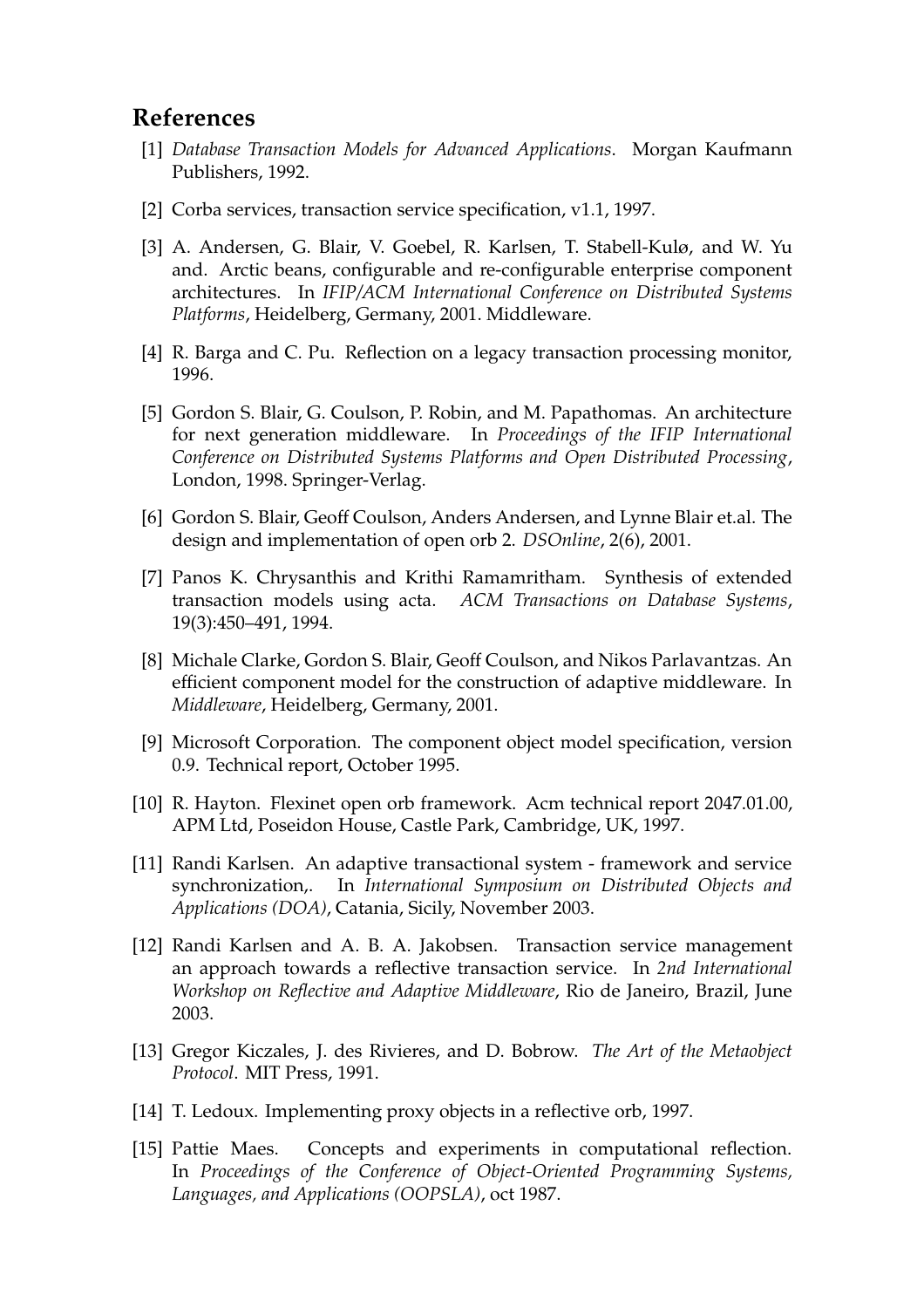## **References**

- [1] *Database Transaction Models for Advanced Applications*. Morgan Kaufmann Publishers, 1992.
- [2] Corba services, transaction service specification, v1.1, 1997.
- [3] A. Andersen, G. Blair, V. Goebel, R. Karlsen, T. Stabell-Kulø, and W. Yu and. Arctic beans, configurable and re-configurable enterprise component architectures. In *IFIP/ACM International Conference on Distributed Systems Platforms*, Heidelberg, Germany, 2001. Middleware.
- [4] R. Barga and C. Pu. Reflection on a legacy transaction processing monitor, 1996.
- [5] Gordon S. Blair, G. Coulson, P. Robin, and M. Papathomas. An architecture for next generation middleware. In *Proceedings of the IFIP International Conference on Distributed Systems Platforms and Open Distributed Processing*, London, 1998. Springer-Verlag.
- [6] Gordon S. Blair, Geoff Coulson, Anders Andersen, and Lynne Blair et.al. The design and implementation of open orb 2. *DSOnline*, 2(6), 2001.
- [7] Panos K. Chrysanthis and Krithi Ramamritham. Synthesis of extended transaction models using acta. *ACM Transactions on Database Systems*, 19(3):450–491, 1994.
- [8] Michale Clarke, Gordon S. Blair, Geoff Coulson, and Nikos Parlavantzas. An efficient component model for the construction of adaptive middleware. In *Middleware*, Heidelberg, Germany, 2001.
- [9] Microsoft Corporation. The component object model specification, version 0.9. Technical report, October 1995.
- [10] R. Hayton. Flexinet open orb framework. Acm technical report 2047.01.00, APM Ltd, Poseidon House, Castle Park, Cambridge, UK, 1997.
- [11] Randi Karlsen. An adaptive transactional system framework and service synchronization,. In *International Symposium on Distributed Objects and Applications (DOA)*, Catania, Sicily, November 2003.
- [12] Randi Karlsen and A. B. A. Jakobsen. Transaction service management an approach towards a reflective transaction service. In *2nd International Workshop on Reflective and Adaptive Middleware*, Rio de Janeiro, Brazil, June 2003.
- [13] Gregor Kiczales, J. des Rivieres, and D. Bobrow. *The Art of the Metaobject Protocol*. MIT Press, 1991.
- [14] T. Ledoux. Implementing proxy objects in a reflective orb, 1997.
- [15] Pattie Maes. Concepts and experiments in computational reflection. In *Proceedings of the Conference of Object-Oriented Programming Systems, Languages, and Applications (OOPSLA)*, oct 1987.